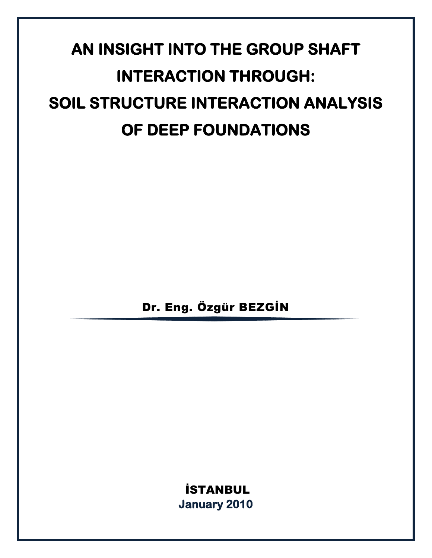# **AN INSIGHT INTO THE GROUP SHAFT INTERACTION THROUGH: SOIL STRUCTURE INTERACTION ANALYSIS OF DEEP FOUNDATIONS**

Dr. Eng. Özgür BEZGİN

İSTANBUL **January 2010**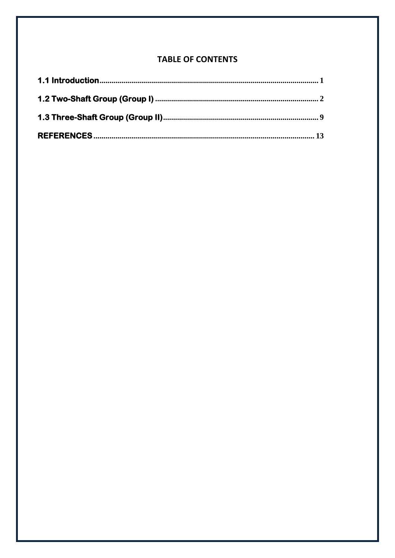### **TABLE OF CONTENTS**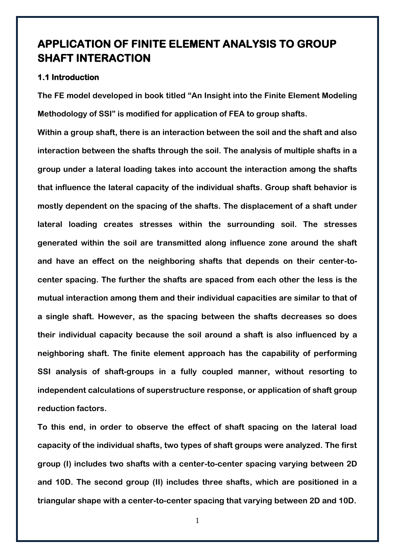## **APPLICATION OF FINITE ELEMENT ANALYSIS TO GROUP SHAFT INTERACTION**

#### <span id="page-2-0"></span>**1.1 Introduction**

**The FE model developed in book titled "An Insight into the Finite Element Modeling Methodology of SSI" is modified for application of FEA to group shafts.** 

**Within a group shaft, there is an interaction between the soil and the shaft and also interaction between the shafts through the soil. The analysis of multiple shafts in a group under a lateral loading takes into account the interaction among the shafts that influence the lateral capacity of the individual shafts. Group shaft behavior is mostly dependent on the spacing of the shafts. The displacement of a shaft under lateral loading creates stresses within the surrounding soil. The stresses generated within the soil are transmitted along influence zone around the shaft and have an effect on the neighboring shafts that depends on their center-tocenter spacing. The further the shafts are spaced from each other the less is the mutual interaction among them and their individual capacities are similar to that of a single shaft. However, as the spacing between the shafts decreases so does their individual capacity because the soil around a shaft is also influenced by a neighboring shaft. The finite element approach has the capability of performing SSI analysis of shaft-groups in a fully coupled manner, without resorting to independent calculations of superstructure response, or application of shaft group reduction factors.**

**To this end, in order to observe the effect of shaft spacing on the lateral load capacity of the individual shafts, two types of shaft groups were analyzed. The first group (I) includes two shafts with a center-to-center spacing varying between 2D and 10D. The second group (II) includes three shafts, which are positioned in a triangular shape with a center-to-center spacing that varying between 2D and 10D.** 

1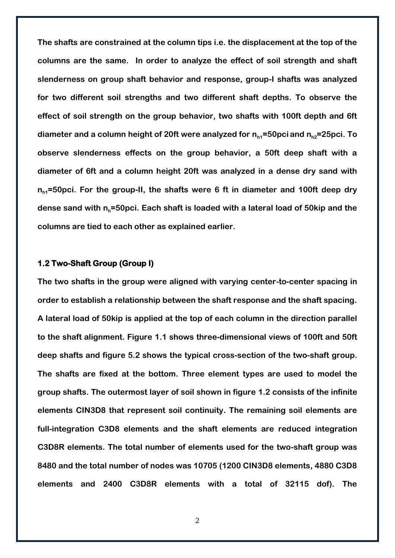**The shafts are constrained at the column tips i.e. the displacement at the top of the columns are the same. In order to analyze the effect of soil strength and shaft slenderness on group shaft behavior and response, group-I shafts was analyzed for two different soil strengths and two different shaft depths. To observe the effect of soil strength on the group behavior, two shafts with 100ft depth and 6ft**  diameter and a column height of 20ft were analyzed for  $n_{h1}$ =50pci and  $n_{h2}$ =25pci. To **observe slenderness effects on the group behavior, a 50ft deep shaft with a diameter of 6ft and a column height 20ft was analyzed in a dense dry sand with**  n<sub>h1</sub>=50pci. For the group-II, the shafts were 6 ft in diameter and 100ft deep dry **dense sand with nh=50pci. Each shaft is loaded with a lateral load of 50kip and the columns are tied to each other as explained earlier.**

#### <span id="page-3-0"></span>**1.2 Two-Shaft Group (Group I)**

**The two shafts in the group were aligned with varying center-to-center spacing in order to establish a relationship between the shaft response and the shaft spacing. A lateral load of 50kip is applied at the top of each column in the direction parallel to the shaft alignment. Figure 1.1 shows three-dimensional views of 100ft and 50ft deep shafts and figure 5.2 shows the typical cross-section of the two-shaft group. The shafts are fixed at the bottom. Three element types are used to model the group shafts. The outermost layer of soil shown in figure 1.2 consists of the infinite elements CIN3D8 that represent soil continuity. The remaining soil elements are full-integration C3D8 elements and the shaft elements are reduced integration C3D8R elements. The total number of elements used for the two-shaft group was 8480 and the total number of nodes was 10705 (1200 CIN3D8 elements, 4880 C3D8 elements and 2400 C3D8R elements with a total of 32115 dof). The**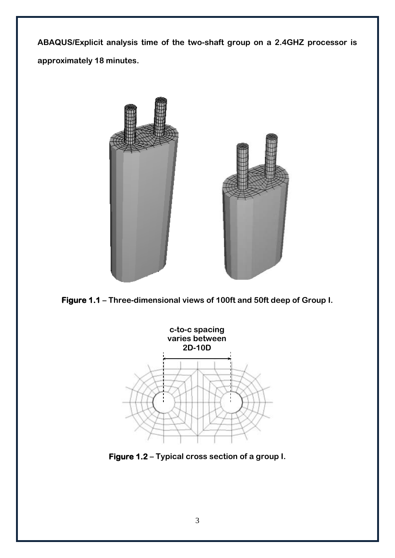**ABAQUS/Explicit analysis time of the two-shaft group on a 2.4GHZ processor is approximately 18 minutes.**



**Figure 1.1 – Three-dimensional views of 100ft and 50ft deep of Group I.**



**Figure 1.2 – Typical cross section of a group I.**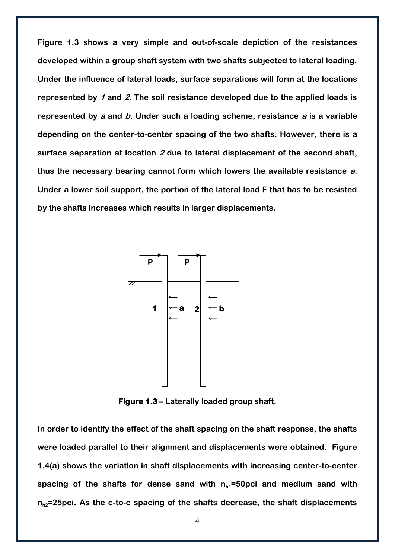**Figure 1.3 shows a very simple and out-of-scale depiction of the resistances developed within a group shaft system with two shafts subjected to lateral loading. Under the influence of lateral loads, surface separations will form at the locations represented by 1 and 2. The soil resistance developed due to the applied loads is represented by <sup>a</sup> and b. Under such a loading scheme, resistance <sup>a</sup> is a variable depending on the center-to-center spacing of the two shafts. However, there is a surface separation at location 2 due to lateral displacement of the second shaft, thus the necessary bearing cannot form which lowers the available resistance a. Under a lower soil support, the portion of the lateral load F that has to be resisted by the shafts increases which results in larger displacements.**



**Figure 1.3 – Laterally loaded group shaft.**

**In order to identify the effect of the shaft spacing on the shaft response, the shafts were loaded parallel to their alignment and displacements were obtained. Figure 1.4(a) shows the variation in shaft displacements with increasing center-to-center**  spacing of the shafts for dense sand with  $n_{h1}$ =50pci and medium sand with  $n_{h2}$ =25pci. As the c-to-c spacing of the shafts decrease, the shaft displacements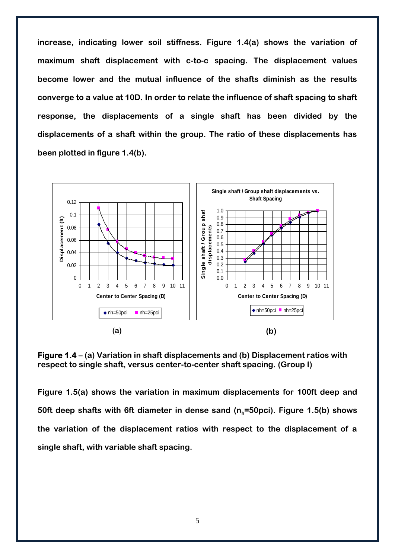**increase, indicating lower soil stiffness. Figure 1.4(a) shows the variation of maximum shaft displacement with c-to-c spacing. The displacement values become lower and the mutual influence of the shafts diminish as the results converge to a value at 10D. In order to relate the influence of shaft spacing to shaft response, the displacements of a single shaft has been divided by the displacements of a shaft within the group. The ratio of these displacements has been plotted in figure 1.4(b).**



**Figure 1.4 – (a) Variation in shaft displacements and (b) Displacement ratios with respect to single shaft, versus center-to-center shaft spacing. (Group I)**

**Figure 1.5(a) shows the variation in maximum displacements for 100ft deep and 50ft deep shafts with 6ft diameter in dense sand (nh=50pci). Figure 1.5(b) shows the variation of the displacement ratios with respect to the displacement of a single shaft, with variable shaft spacing.**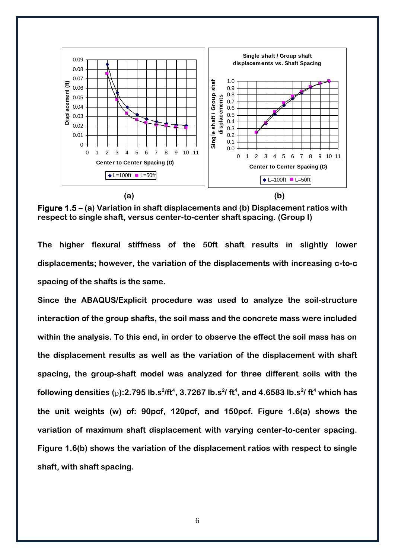

**Figure 1.5 – (a) Variation in shaft displacements and (b) Displacement ratios with respect to single shaft, versus center-to-center shaft spacing. (Group I)**

**The higher flexural stiffness of the 50ft shaft results in slightly lower displacements; however, the variation of the displacements with increasing c-to-c spacing of the shafts is the same.**

**Since the ABAQUS/Explicit procedure was used to analyze the soil-structure interaction of the group shafts, the soil mass and the concrete mass were included within the analysis. To this end, in order to observe the effect the soil mass has on the displacement results as well as the variation of the displacement with shaft spacing, the group-shaft model was analyzed for three different soils with the following densities** ( $\wp$ ):2.795 **lb.s<sup>2</sup>/ft<sup>4</sup>, 3.7267 lb.s<sup>2</sup>/ ft<sup>4</sup>, and 4.6583 lb.s<sup>2</sup>/ ft<sup>4</sup> which has the unit weights (w) of: 90pcf, 120pcf, and 150pcf. Figure 1.6(a) shows the variation of maximum shaft displacement with varying center-to-center spacing. Figure 1.6(b) shows the variation of the displacement ratios with respect to single shaft, with shaft spacing.**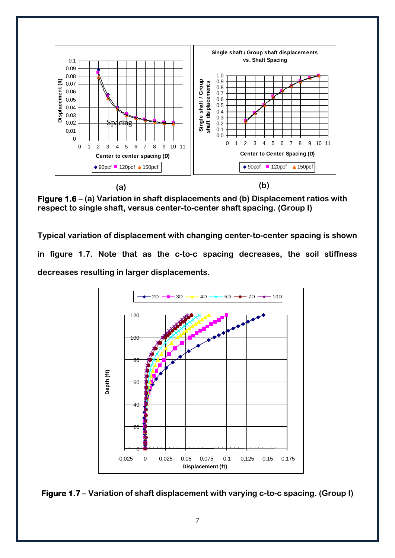

**Figure 1.6 – (a) Variation in shaft displacements and (b) Displacement ratios with respect to single shaft, versus center-to-center shaft spacing. (Group I)**

**Typical variation of displacement with changing center-to-center spacing is shown in figure 1.7. Note that as the c-to-c spacing decreases, the soil stiffness decreases resulting in larger displacements.** 



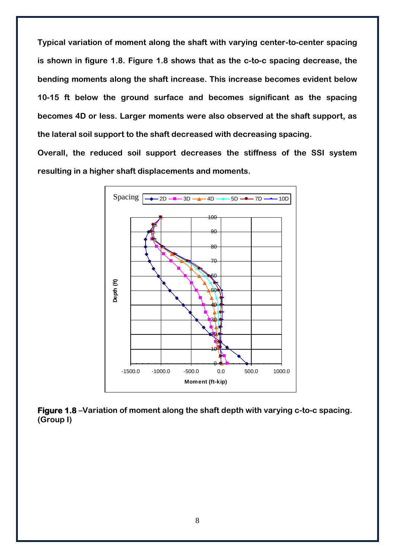**Typical variation of moment along the shaft with varying center-to-center spacing is shown in figure 1.8. Figure 1.8 shows that as the c-to-c spacing decrease, the bending moments along the shaft increase. This increase becomes evident below 10-15 ft below the ground surface and becomes significant as the spacing becomes 4D or less. Larger moments were also observed at the shaft support, as the lateral soil support to the shaft decreased with decreasing spacing.**

**Overall, the reduced soil support decreases the stiffness of the SSI system resulting in a higher shaft displacements and moments.**



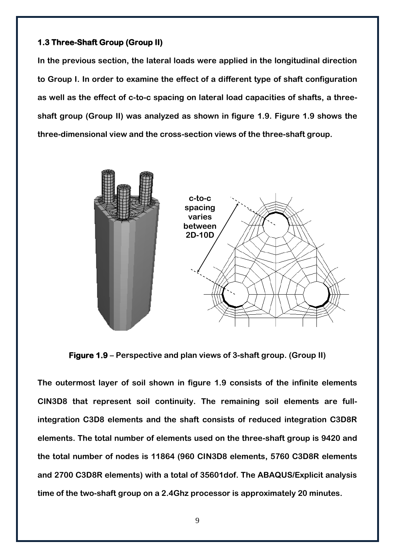#### <span id="page-10-0"></span>**1.3 Three-Shaft Group (Group II)**

**In the previous section, the lateral loads were applied in the longitudinal direction to Group I. In order to examine the effect of a different type of shaft configuration as well as the effect of c-to-c spacing on lateral load capacities of shafts, a threeshaft group (Group II) was analyzed as shown in figure 1.9. Figure 1.9 shows the three-dimensional view and the cross-section views of the three-shaft group.**



**Figure 1.9 – Perspective and plan views of 3-shaft group. (Group II)**

**The outermost layer of soil shown in figure 1.9 consists of the infinite elements CIN3D8 that represent soil continuity. The remaining soil elements are fullintegration C3D8 elements and the shaft consists of reduced integration C3D8R elements. The total number of elements used on the three-shaft group is 9420 and the total number of nodes is 11864 (960 CIN3D8 elements, 5760 C3D8R elements and 2700 C3D8R elements) with a total of 35601dof. The ABAQUS/Explicit analysis time of the two-shaft group on a 2.4Ghz processor is approximately 20 minutes.**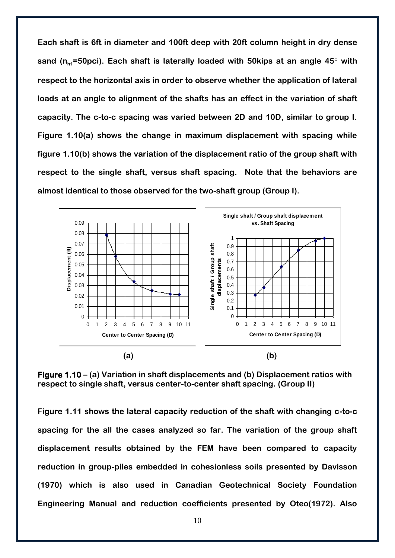**Each shaft is 6ft in diameter and 100ft deep with 20ft column height in dry dense**  sand (n<sub>h1</sub>=50pci). Each shaft is laterally loaded with 50kips at an angle 45° with **respect to the horizontal axis in order to observe whether the application of lateral loads at an angle to alignment of the shafts has an effect in the variation of shaft capacity. The c-to-c spacing was varied between 2D and 10D, similar to group I. Figure 1.10(a) shows the change in maximum displacement with spacing while figure 1.10(b) shows the variation of the displacement ratio of the group shaft with respect to the single shaft, versus shaft spacing. Note that the behaviors are almost identical to those observed for the two-shaft group (Group I).**



**Figure 1.10 – (a) Variation in shaft displacements and (b) Displacement ratios with respect to single shaft, versus center-to-center shaft spacing. (Group II)**

**Figure 1.11 shows the lateral capacity reduction of the shaft with changing c-to-c spacing for the all the cases analyzed so far. The variation of the group shaft displacement results obtained by the FEM have been compared to capacity reduction in group-piles embedded in cohesionless soils presented by Davisson (1970) which is also used in Canadian Geotechnical Society Foundation Engineering Manual and reduction coefficients presented by Oteo(1972). Also**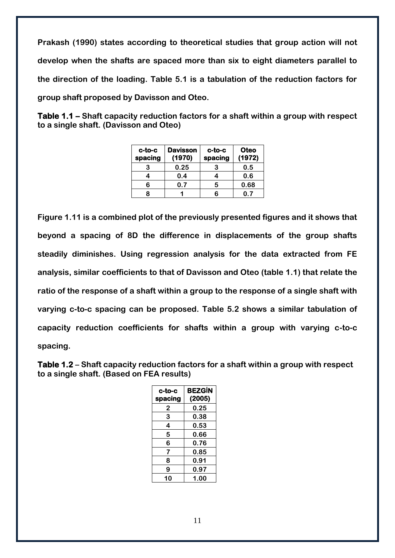**Prakash (1990) states according to theoretical studies that group action will not develop when the shafts are spaced more than six to eight diameters parallel to the direction of the loading. Table 5.1 is a tabulation of the reduction factors for group shaft proposed by Davisson and Oteo.** 

**Table 1.1 – Shaft capacity reduction factors for a shaft within a group with respect to a single shaft. (Davisson and Oteo)**

| $c$ -to-c<br>spacing | <b>Davisson</b><br>(1970) | $c$ -to- $c$<br>spacing | <b>Oteo</b><br>(1972) |
|----------------------|---------------------------|-------------------------|-----------------------|
| з                    | 0.25                      | З                       | 0.5                   |
|                      | 0.4                       |                         | 0.6                   |
| 6                    | 0.7                       | 5                       | 0.68                  |
| R                    |                           | R                       | ი 7                   |

**Figure 1.11 is a combined plot of the previously presented figures and it shows that beyond a spacing of 8D the difference in displacements of the group shafts steadily diminishes. Using regression analysis for the data extracted from FE analysis, similar coefficients to that of Davisson and Oteo (table 1.1) that relate the ratio of the response of a shaft within a group to the response of a single shaft with varying c-to-c spacing can be proposed. Table 5.2 shows a similar tabulation of capacity reduction coefficients for shafts within a group with varying c-to-c spacing.**

**Table 1.2 – Shaft capacity reduction factors for a shaft within a group with respect to a single shaft. (Based on FEA results)**

| c-to-c<br>spacing | <b>BEZGIN</b><br>(2005) |
|-------------------|-------------------------|
| 2                 | 0.25                    |
| 3                 | 0.38                    |
| 4                 | 0.53                    |
| 5                 | 0.66                    |
| 6                 | 0.76                    |
| 7                 | 0.85                    |
| 8                 | 0.91                    |
| 9                 | 0.97                    |
| ΙO                | 1.00                    |

11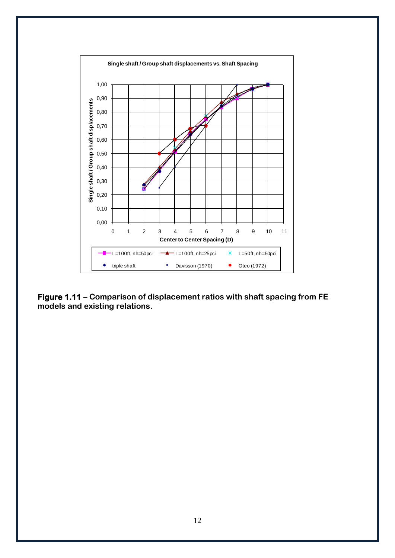

**Figure 1.11 – Comparison of displacement ratios with shaft spacing from FE models and existing relations.**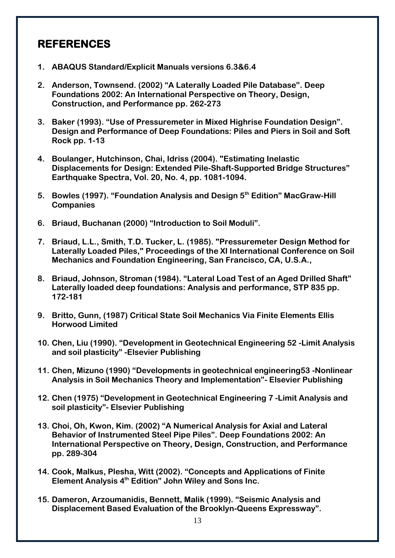## <span id="page-14-0"></span>**REFERENCES**

- **1. ABAQUS Standard/Explicit Manuals versions 6.3&6.4**
- **2. Anderson, Townsend. (2002) "A Laterally Loaded Pile Database". Deep Foundations 2002: An International Perspective on Theory, Design, Construction, and Performance pp. 262-273**
- **3. Baker (1993). "Use of Pressuremeter in Mixed Highrise Foundation Design". Design and Performance of Deep Foundations: Piles and Piers in Soil and Soft Rock pp. 1-13**
- **4. Boulanger, Hutchinson, Chai, Idriss (2004). "Estimating Inelastic Displacements for Design: Extended Pile-Shaft-Supported Bridge Structures" Earthquake Spectra, Vol. 20, No. 4, pp. 1081-1094.**
- **5. Bowles (1997). "Foundation Analysis and Design 5th Edition" MacGraw-Hill Companies**
- **6. Briaud, Buchanan (2000) "Introduction to Soil Moduli".**
- **7. Briaud, L.L., Smith, T.D. Tucker, L. (1985). "Pressuremeter Design Method for Laterally Loaded Piles," Proceedings of the XI International Conference on Soil Mechanics and Foundation Engineering, San Francisco, CA, U.S.A.,**
- **8. Briaud, Johnson, Stroman (1984). "Lateral Load Test of an Aged Drilled Shaft" Laterally loaded deep foundations: Analysis and performance, STP 835 pp. 172-181**
- **9. Britto, Gunn, (1987) Critical State Soil Mechanics Via Finite Elements Ellis Horwood Limited**
- **10. Chen, Liu (1990). "Development in Geotechnical Engineering 52 -Limit Analysis and soil plasticity" -Elsevier Publishing**
- **11. Chen, Mizuno (1990) "Developments in geotechnical engineering53 -Nonlinear Analysis in Soil Mechanics Theory and Implementation"- Elsevier Publishing**
- **12. Chen (1975) "Development in Geotechnical Engineering 7 -Limit Analysis and soil plasticity"- Elsevier Publishing**
- **13. Choi, Oh, Kwon, Kim. (2002) "A Numerical Analysis for Axial and Lateral Behavior of Instrumented Steel Pipe Piles". Deep Foundations 2002: An International Perspective on Theory, Design, Construction, and Performance pp. 289-304**
- **14. Cook, Malkus, Plesha, Witt (2002). "Concepts and Applications of Finite Element Analysis 4th Edition" John Wiley and Sons Inc.**
- **15. Dameron, Arzoumanidis, Bennett, Malik (1999). "Seismic Analysis and Displacement Based Evaluation of the Brooklyn-Queens Expressway".**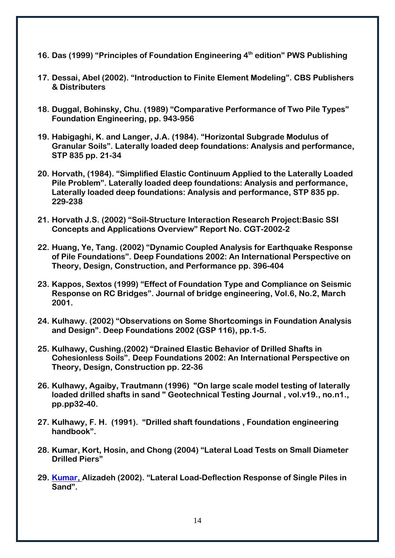- **16. Das (1999) "Principles of Foundation Engineering 4th edition" PWS Publishing**
- **17. Dessai, Abel (2002). "Introduction to Finite Element Modeling". CBS Publishers & Distributers**
- **18. Duggal, Bohinsky, Chu. (1989) "Comparative Performance of Two Pile Types" Foundation Engineering, pp. 943-956**
- **19. Habigaghi, K. and Langer, J.A. (1984). "Horizontal Subgrade Modulus of Granular Soils". Laterally loaded deep foundations: Analysis and performance, STP 835 pp. 21-34**
- **20. Horvath, (1984). "Simplified Elastic Continuum Applied to the Laterally Loaded Pile Problem". Laterally loaded deep foundations: Analysis and performance, Laterally loaded deep foundations: Analysis and performance, STP 835 pp. 229-238**
- **21. Horvath J.S. (2002) "Soil-Structure Interaction Research Project:Basic SSI Concepts and Applications Overview" Report No. CGT-2002-2**
- **22. Huang, Ye, Tang. (2002) "Dynamic Coupled Analysis for Earthquake Response of Pile Foundations". Deep Foundations 2002: An International Perspective on Theory, Design, Construction, and Performance pp. 396-404**
- **23. Kappos, Sextos (1999) "Effect of Foundation Type and Compliance on Seismic Response on RC Bridges". Journal of bridge engineering, Vol.6, No.2, March 2001.**
- **24. Kulhawy. (2002) "Observations on Some Shortcomings in Foundation Analysis and Design". Deep Foundations 2002 (GSP 116), pp.1-5.**
- **25. Kulhawy, Cushing.(2002) "Drained Elastic Behavior of Drilled Shafts in Cohesionless Soils". Deep Foundations 2002: An International Perspective on Theory, Design, Construction pp. 22-36**
- **26. Kulhawy, Agaiby, Trautmann (1996) "On large scale model testing of laterally loaded drilled shafts in sand " Geotechnical Testing Journal , vol.v19., no.n1., pp.pp32-40.**
- **27. Kulhawy, F. H. (1991). "Drilled shaft foundations , Foundation engineering handbook".**
- **28. Kumar, Kort, Hosin, and Chong (2004) "Lateral Load Tests on Small Diameter Drilled Piers"**
- **29. Kumar, Alizadeh (2002). "Lateral Load-Deflection Response of Single Piles in Sand".**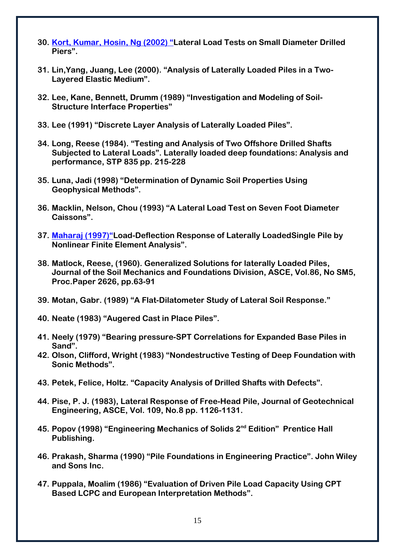- **30. Kort, Kumar, Hosin, Ng (2002) "Lateral Load Tests on Small Diameter Drilled Piers".**
- **31. Lin,Yang, Juang, Lee (2000). "Analysis of Laterally Loaded Piles in a Two-Layered Elastic Medium".**
- **32. Lee, Kane, Bennett, Drumm (1989) "Investigation and Modeling of Soil-Structure Interface Properties"**
- **33. Lee (1991) "Discrete Layer Analysis of Laterally Loaded Piles".**
- **34. Long, Reese (1984). "Testing and Analysis of Two Offshore Drilled Shafts Subjected to Lateral Loads". Laterally loaded deep foundations: Analysis and performance, STP 835 pp. 215-228**
- **35. Luna, Jadi (1998) "Determination of Dynamic Soil Properties Using Geophysical Methods".**
- **36. Macklin, Nelson, Chou (1993) "A Lateral Load Test on Seven Foot Diameter Caissons".**
- **37. Maharaj (1997)"Load-Deflection Response of Laterally LoadedSingle Pile by Nonlinear Finite Element Analysis".**
- **38. Matlock, Reese, (1960). Generalized Solutions for laterally Loaded Piles, Journal of the Soil Mechanics and Foundations Division, ASCE, Vol.86, No SM5, Proc.Paper 2626, pp.63-91**
- **39. Motan, Gabr. (1989) "A Flat-Dilatometer Study of Lateral Soil Response."**
- **40. Neate (1983) "Augered Cast in Place Piles".**
- **41. Neely (1979) "Bearing pressure-SPT Correlations for Expanded Base Piles in Sand".**
- **42. Olson, Clifford, Wright (1983) "Nondestructive Testing of Deep Foundation with Sonic Methods".**
- **43. Petek, Felice, Holtz. "Capacity Analysis of Drilled Shafts with Defects".**
- **44. Pise, P. J. (1983), Lateral Response of Free-Head Pile, Journal of Geotechnical Engineering, ASCE, Vol. 109, No.8 pp. 1126-1131.**
- **45. Popov (1998) "Engineering Mechanics of Solids 2nd Edition" Prentice Hall Publishing.**
- **46. Prakash, Sharma (1990) "Pile Foundations in Engineering Practice". John Wiley and Sons Inc.**
- **47. Puppala, Moalim (1986) "Evaluation of Driven Pile Load Capacity Using CPT Based LCPC and European Interpretation Methods".**